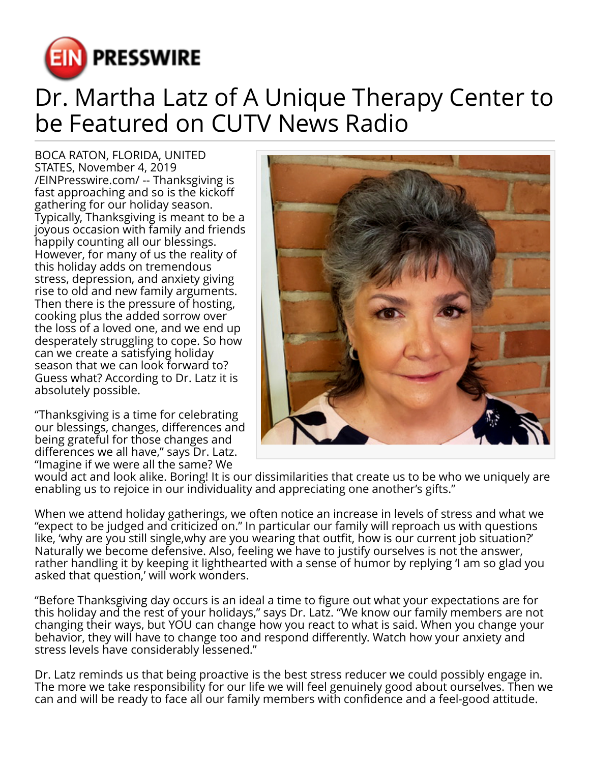

## Dr. Martha Latz of A Unique Therapy Center to be Featured on CUTV News Radio

BOCA RATON, FLORIDA, UNITED STATES, November 4, 2019 [/EINPresswire.com/](http://www.einpresswire.com) -- Thanksgiving is fast approaching and so is the kickoff gathering for our holiday season. Typically, Thanksgiving is meant to be a joyous occasion with family and friends happily counting all our blessings. However, for many of us the reality of this holiday adds on tremendous stress, depression, and anxiety giving rise to old and new family arguments. Then there is the pressure of hosting, cooking plus the added sorrow over the loss of a loved one, and we end up desperately struggling to cope. So how can we create a satisfying holiday season that we can look forward to? Guess what? According to Dr. Latz it is absolutely possible.

"Thanksgiving is a time for celebrating our blessings, changes, differences and being grateful for those changes and differences we all have," says Dr. Latz. "Imagine if we were all the same? We



would act and look alike. Boring! It is our dissimilarities that create us to be who we uniquely are enabling us to rejoice in our individuality and appreciating one another's gifts."

When we attend holiday gatherings, we often notice an increase in levels of stress and what we "expect to be judged and criticized on." In particular our family will reproach us with questions like, 'why are you still single,why are you wearing that outfit, how is our current job situation?' Naturally we become defensive. Also, feeling we have to justify ourselves is not the answer, rather handling it by keeping it lighthearted with a sense of humor by replying 'I am so glad you asked that question,' will work wonders.

"Before Thanksgiving day occurs is an ideal a time to figure out what your expectations are for this holiday and the rest of your holidays," says Dr. Latz. "We know our family members are not changing their ways, but YOU can change how you react to what is said. When you change your behavior, they will have to change too and respond differently. Watch how your anxiety and stress levels have considerably lessened."

Dr. Latz reminds us that being proactive is the best stress reducer we could possibly engage in. The more we take responsibility for our life we will feel genuinely good about ourselves. Then we can and will be ready to face all our family members with confidence and a feel-good attitude.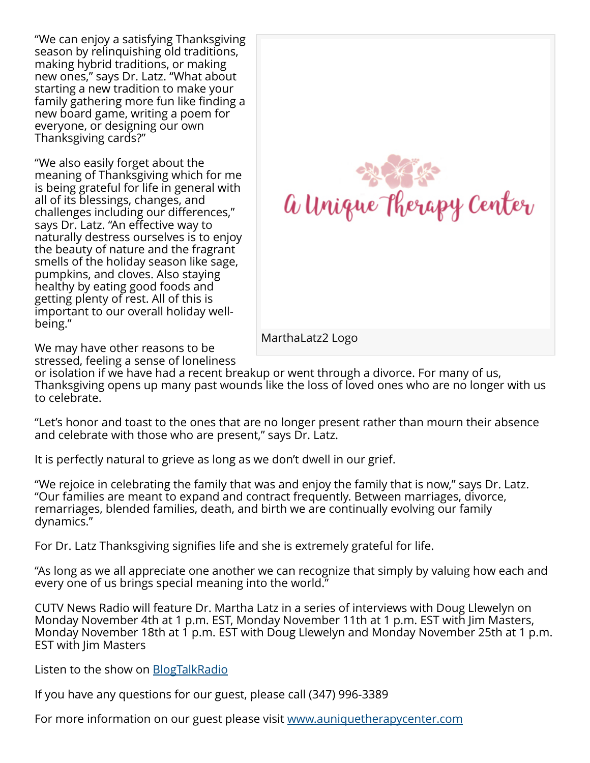"We can enjoy a satisfying Thanksgiving season by relinquishing old traditions, making hybrid traditions, or making new ones," says Dr. Latz. "What about starting a new tradition to make your family gathering more fun like finding a new board game, writing a poem for everyone, or designing our own Thanksgiving cards?"

"We also easily forget about the meaning of Thanksgiving which for me is being grateful for life in general with all of its blessings, changes, and challenges including our differences," says Dr. Latz. "An effective way to naturally destress ourselves is to enjoy the beauty of nature and the fragrant smells of the holiday season like sage, pumpkins, and cloves. Also staying healthy by eating good foods and getting plenty of rest. All of this is important to our overall holiday wellbeing."



We may have other reasons to be stressed, feeling a sense of loneliness

or isolation if we have had a recent breakup or went through a divorce. For many of us, Thanksgiving opens up many past wounds like the loss of loved ones who are no longer with us to celebrate.

"Let's honor and toast to the ones that are no longer present rather than mourn their absence and celebrate with those who are present," says Dr. Latz.

It is perfectly natural to grieve as long as we don't dwell in our grief.

"We rejoice in celebrating the family that was and enjoy the family that is now," says Dr. Latz. "Our families are meant to expand and contract frequently. Between marriages, divorce, remarriages, blended families, death, and birth we are continually evolving our family dynamics."

For Dr. Latz Thanksgiving signifies life and she is extremely grateful for life.

"As long as we all appreciate one another we can recognize that simply by valuing how each and every one of us brings special meaning into the world."

CUTV News Radio will feature Dr. Martha Latz in a series of interviews with Doug Llewelyn on Monday November 4th at 1 p.m. EST, Monday November 11th at 1 p.m. EST with Jim Masters, Monday November 18th at 1 p.m. EST with Doug Llewelyn and Monday November 25th at 1 p.m. EST with Jim Masters

Listen to the show on [BlogTalkRadio](https://www.blogtalkradio.com/cutvnewsradio/2019/11/04/part-7-cutv-news-radio-welcomes-back-martha-latz-of-a-unique-therapy-center)

If you have any questions for our guest, please call (347) 996-3389

For more information on our guest please visit [www.auniquetherapycenter.com](http://www.auniquetherapycenter.com)